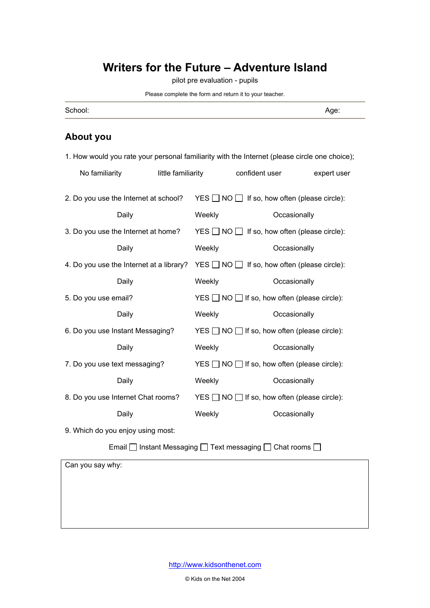## **Writers for the Future – Adventure Island**

pilot pre evaluation - pupils

Please complete the form and return it to your teacher.

| School: | - -<br>vue |
|---------|------------|
|         |            |

## **About you**

| 1. How would you rate your personal familiarity with the Internet (please circle one choice); |  |                    |                                                           |             |  |
|-----------------------------------------------------------------------------------------------|--|--------------------|-----------------------------------------------------------|-------------|--|
| No familiarity                                                                                |  | little familiarity | confident user                                            | expert user |  |
| 2. Do you use the Internet at school?                                                         |  |                    | $YES \t{~}$ NO $\t{~}$ If so, how often (please circle):  |             |  |
| Daily                                                                                         |  | Weekly             | Occasionally                                              |             |  |
| 3. Do you use the Internet at home?                                                           |  |                    | $YES \t{~}$ NO $\t{~}$ If so, how often (please circle):  |             |  |
| Daily                                                                                         |  | Weekly             | Occasionally                                              |             |  |
| 4. Do you use the Internet at a library?                                                      |  |                    | $YES \t{~}$ NO $\t{~}$ If so, how often (please circle):  |             |  |
| Daily                                                                                         |  | Weekly             | Occasionally                                              |             |  |
| 5. Do you use email?                                                                          |  |                    | $YES \Box NO \Box$ If so, how often (please circle):      |             |  |
| Daily                                                                                         |  | Weekly             | Occasionally                                              |             |  |
| 6. Do you use Instant Messaging?                                                              |  |                    | $YES \Box NO \Box$ If so, how often (please circle):      |             |  |
| Daily                                                                                         |  | Weekly             | Occasionally                                              |             |  |
| 7. Do you use text messaging?                                                                 |  |                    | $YES \t{~}$ NO $\l{~}$ If so, how often (please circle):  |             |  |
| Daily                                                                                         |  | Weekly             | Occasionally                                              |             |  |
| 8. Do you use Internet Chat rooms?                                                            |  |                    | $YES \t{~}$ NO $\td{~}$ If so, how often (please circle): |             |  |
| Daily                                                                                         |  | Weekly             | Occasionally                                              |             |  |

9. Which do you enjoy using most:

Email  $\square$  Instant Messaging  $\square$  Text messaging  $\square$  Chat rooms  $\square$ 

Can you say why: